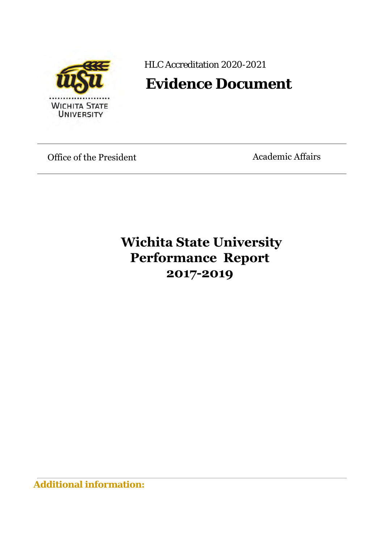

HLC Accreditation 2020-2021

# **Evidence Document**

Office of the President

Academic Affairs

# **Wichita State University Performance Report 2017-2019**

**Additional information:**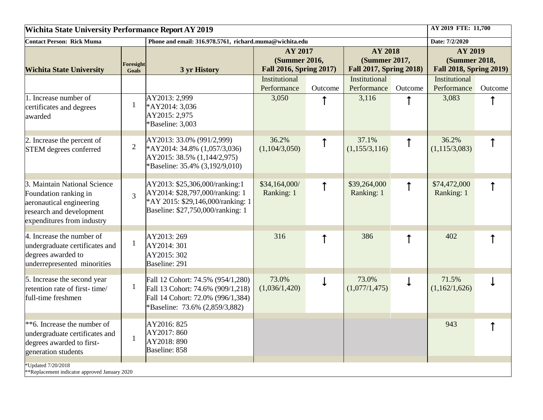| <b>Wichita State University Performance Report AY 2019</b>                                                                                  |                           |                                                                                                                                               |                                                            |            |                                                                          |              | AY 2019 FTE: 11,700                                               |         |
|---------------------------------------------------------------------------------------------------------------------------------------------|---------------------------|-----------------------------------------------------------------------------------------------------------------------------------------------|------------------------------------------------------------|------------|--------------------------------------------------------------------------|--------------|-------------------------------------------------------------------|---------|
| <b>Contact Person: Rick Muma</b>                                                                                                            |                           | Phone and email: 316.978.5761, richard.muma@wichita.edu                                                                                       |                                                            |            |                                                                          |              | Date: 7/2/2020                                                    |         |
| <b>Wichita State University</b>                                                                                                             | Foresight<br><b>Goals</b> | 3 yr History                                                                                                                                  | AY 2017<br><b>(Summer 2016,</b><br>Fall 2016, Spring 2017) |            | <b>AY 2018</b><br><b>(Summer 2017,</b><br><b>Fall 2017, Spring 2018)</b> |              | AY 2019<br><b>(Summer 2018,</b><br><b>Fall 2018, Spring 2019)</b> |         |
|                                                                                                                                             |                           |                                                                                                                                               | Institutional<br>Performance                               | Outcome    | Institutional<br>Performance                                             | Outcome      | Institutional<br>Performance                                      | Outcome |
| 1. Increase number of<br>certificates and degrees<br>awarded                                                                                | $\mathbf{1}$              | AY2013: 2,999<br>*AY2014: 3,036<br>AY2015: 2,975<br>*Baseline: 3,003                                                                          | 3,050                                                      |            | 3,116                                                                    |              | 3,083                                                             |         |
| 2. Increase the percent of<br>STEM degrees conferred                                                                                        | $\overline{2}$            | AY2013: 33.0% (991/2,999)<br>*AY2014: 34.8% (1,057/3,036)<br>AY2015: 38.5% (1,144/2,975)<br>*Baseline: 35.4% (3,192/9,010)                    | 36.2%<br>(1,104/3,050)                                     | $\uparrow$ | 37.1%<br>(1,155/3,116)                                                   |              | 36.2%<br>(1, 115/3, 083)                                          |         |
| 3. Maintain National Science<br>Foundation ranking in<br>aeronautical engineering<br>research and development<br>expenditures from industry | $\overline{3}$            | AY2013: \$25,306,000/ranking:1<br>AY2014: \$28,797,000/ranking: 1<br>*AY 2015: \$29,146,000/ranking: 1<br>Baseline: \$27,750,000/ranking: 1   | \$34,164,000/<br>Ranking: 1                                | ↑          | \$39,264,000<br>Ranking: 1                                               | ↑            | \$74,472,000<br>Ranking: 1                                        |         |
| 4. Increase the number of<br>undergraduate certificates and<br>degrees awarded to<br>underrepresented minorities                            | $\mathbf{1}$              | AY2013: 269<br>AY2014: 301<br>AY2015: 302<br>Baseline: 291                                                                                    | 316                                                        | ↑          | 386                                                                      | $\uparrow$   | 402                                                               |         |
| 5. Increase the second year<br>retention rate of first-time/<br>full-time freshmen                                                          | $\mathbf{1}$              | Fall 12 Cohort: 74.5% (954/1,280)<br>Fall 13 Cohort: 74.6% (909/1,218)<br>Fall 14 Cohort: 72.0% (996/1,384)<br>*Baseline: 73.6% (2,859/3,882) | 73.0%<br>(1,036/1,420)                                     | ↓          | 73.0%<br>(1,077/1,475)                                                   | $\downarrow$ | 71.5%<br>(1,162/1,626)                                            |         |
| $*$ <sup>6</sup> . Increase the number of<br>undergraduate certificates and<br>degrees awarded to first-<br>generation students             | 1                         | AY2016: 825<br>AY2017: 860<br>AY2018: 890<br>Baseline: 858                                                                                    |                                                            |            |                                                                          |              | 943                                                               |         |
| *Updated 7/20/2018<br>**Replacement indicator approved January 2020                                                                         |                           |                                                                                                                                               |                                                            |            |                                                                          |              |                                                                   |         |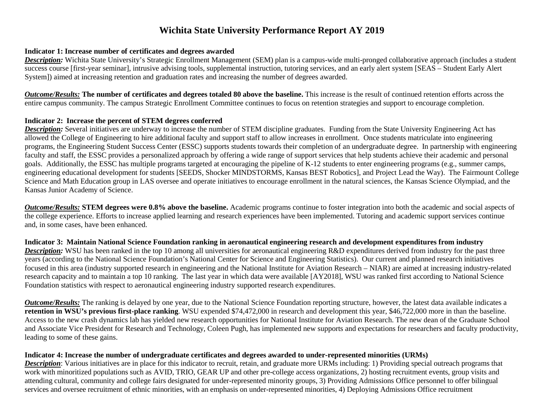# **Wichita State University Performance Report AY 2019**

# **Indicator 1: Increase number of certificates and degrees awarded**

*Description:* Wichita State University's Strategic Enrollment Management (SEM) plan is a campus-wide multi-pronged collaborative approach (includes a student success course [first-year seminar], intrusive advising tools, supplemental instruction, tutoring services, and an early alert system [SEAS – Student Early Alert System]) aimed at increasing retention and graduation rates and increasing the number of degrees awarded.

*Outcome/Results:* **The number of certificates and degrees totaled 80 above the baseline.** This increase is the result of continued retention efforts across the entire campus community. The campus Strategic Enrollment Committee continues to focus on retention strategies and support to encourage completion.

# **Indicator 2: Increase the percent of STEM degrees conferred**

*Description:* Several initiatives are underway to increase the number of STEM discipline graduates. Funding from the State University Engineering Act has allowed the College of Engineering to hire additional faculty and support staff to allow increases in enrollment. Once students matriculate into engineering programs, the Engineering Student Success Center (ESSC) supports students towards their completion of an undergraduate degree. In partnership with engineering faculty and staff, the ESSC provides a personalized approach by offering a wide range of support services that help students achieve their academic and personal goals. Additionally, the ESSC has multiple programs targeted at encouraging the pipeline of K-12 students to enter engineering programs (e.g., summer camps, engineering educational development for students [SEEDS, Shocker MINDSTORMS, Kansas BEST Robotics], and Project Lead the Way). The Fairmount College Science and Math Education group in LAS oversee and operate initiatives to encourage enrollment in the natural sciences, the Kansas Science Olympiad, and the Kansas Junior Academy of Science.

*Outcome/Results:* **STEM degrees were 0.8% above the baseline.** Academic programs continue to foster integration into both the academic and social aspects of the college experience. Efforts to increase applied learning and research experiences have been implemented. Tutoring and academic support services continue and, in some cases, have been enhanced.

# **Indicator 3: Maintain National Science Foundation ranking in aeronautical engineering research and development expenditures from industry**

*Description:* WSU has been ranked in the top 10 among all universities for aeronautical engineering R&D expenditures derived from industry for the past three years (according to the National Science Foundation's National Center for Science and Engineering Statistics). Our current and planned research initiatives focused in this area (industry supported research in engineering and the National Institute for Aviation Research – NIAR) are aimed at increasing industry-related research capacity and to maintain a top 10 ranking. The last year in which data were available [AY2018], WSU was ranked first according to National Science Foundation statistics with respect to aeronautical engineering industry supported research expenditures.

*Outcome/Results:* The ranking is delayed by one year, due to the National Science Foundation reporting structure, however, the latest data available indicates a **retention in WSU's previous first-place ranking**. WSU expended \$74,472,000 in research and development this year, \$46,722,000 more in than the baseline. Access to the new crash dynamics lab has yielded new research opportunities for National Institute for Aviation Research. The new dean of the Graduate School and Associate Vice President for Research and Technology, Coleen Pugh, has implemented new supports and expectations for researchers and faculty productivity, leading to some of these gains.

# **Indicator 4: Increase the number of undergraduate certificates and degrees awarded to under-represented minorities (URMs)**

*Description*: Various initiatives are in place for this indicator to recruit, retain, and graduate more URMs including: 1) Providing special outreach programs that work with minoritized populations such as AVID, TRIO, GEAR UP and other pre-college access organizations, 2) hosting recruitment events, group visits and attending cultural, community and college fairs designated for under-represented minority groups, 3) Providing Admissions Office personnel to offer bilingual services and oversee recruitment of ethnic minorities, with an emphasis on under-represented minorities, 4) Deploying Admissions Office recruitment